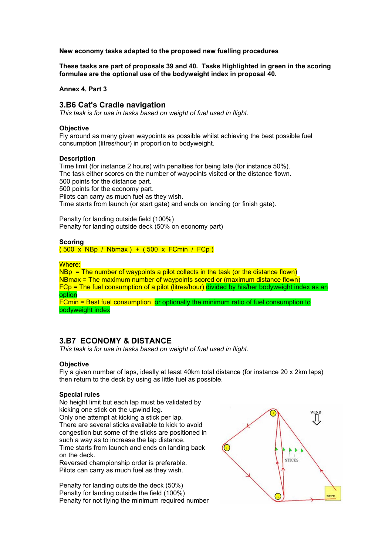**New economy tasks adapted to the proposed new fuelling procedures** 

**These tasks are part of proposals 39 and 40. Tasks Highlighted in green in the scoring formulae are the optional use of the bodyweight index in proposal 40.** 

**Annex 4, Part 3** 

## **3.B6 Cat's Cradle navigation**

*This task is for use in tasks based on weight of fuel used in flight.* 

#### **Objective**

Fly around as many given waypoints as possible whilst achieving the best possible fuel consumption (litres/hour) in proportion to bodyweight.

### **Description**

Time limit (for instance 2 hours) with penalties for being late (for instance 50%). The task either scores on the number of waypoints visited or the distance flown. 500 points for the distance part. 500 points for the economy part. Pilots can carry as much fuel as they wish. Time starts from launch (or start gate) and ends on landing (or finish gate).

Penalty for landing outside field (100%) Penalty for landing outside deck (50% on economy part)

### **Scoring**

( 500 x NBp / Nbmax ) + ( 500 x FCmin / FCp )

### Where:

 $NBP = The number of waypoints a pilot collects in the task (or the distance flow)$ NBmax = The maximum number of waypoints scored or (maximum distance flown) FCp = The fuel consumption of a pilot (litres/hour) divided by his/her bodyweight index as an option

FCmin = Best fuel consumption or optionally the minimum ratio of fuel consumption to bodyweight index

# **3.B7 ECONOMY & DISTANCE**

*This task is for use in tasks based on weight of fuel used in flight.* 

## **Objective**

Fly a given number of laps, ideally at least 40km total distance (for instance 20 x 2km laps) then return to the deck by using as little fuel as possible.

### **Special rules**

No height limit but each lap must be validated by kicking one stick on the upwind leg. Only one attempt at kicking a stick per lap. There are several sticks available to kick to avoid congestion but some of the sticks are positioned in such a way as to increase the lap distance. Time starts from launch and ends on landing back on the deck.

Reversed championship order is preferable. Pilots can carry as much fuel as they wish.

Penalty for landing outside the deck (50%) Penalty for landing outside the field (100%) Penalty for not flying the minimum required number

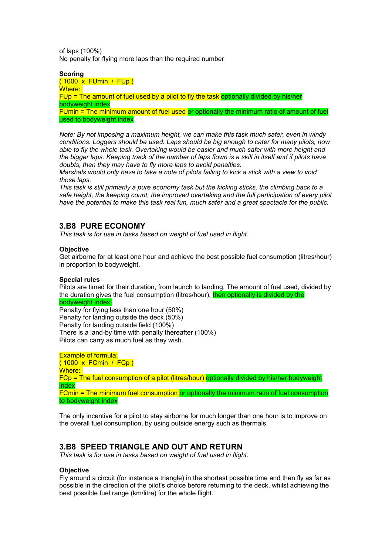of laps (100%) No penalty for flying more laps than the required number

**Scoring**  ( 1000 x FUmin / FUp ) Where: FUp = The amount of fuel used by a pilot to fly the task optionally divided by his/her bodyweight index FUmin = The minimum amount of fuel used or optionally the minimum ratio of amount of fuel used to bodyweight index

*Note: By not imposing a maximum height, we can make this task much safer, even in windy conditions. Loggers should be used. Laps should be big enough to cater for many pilots, now able to fly the whole task. Overtaking would be easier and much safer with more height and the bigger laps. Keeping track of the number of laps flown is a skill in itself and if pilots have doubts, then they may have to fly more laps to avoid penalties.* 

*Marshals would only have to take a note of pilots failing to kick a stick with a view to void those laps.* 

*This task is still primarily a pure economy task but the kicking sticks, the climbing back to a safe height, the keeping count, the improved overtaking and the full participation of every pilot have the potential to make this task real fun, much safer and a great spectacle for the public.* 

# **3.B8 PURE ECONOMY**

*This task is for use in tasks based on weight of fuel used in flight.* 

## **Objective**

Get airborne for at least one hour and achieve the best possible fuel consumption (litres/hour) in proportion to bodyweight.

## **Special rules**

Pilots are timed for their duration, from launch to landing. The amount of fuel used, divided by the duration gives the fuel consumption (litres/hour), then optionally is divided by the

### bodyweight index.

Penalty for flying less than one hour (50%) Penalty for landing outside the deck (50%) Penalty for landing outside field (100%) There is a land-by time with penalty thereafter (100%) Pilots can carry as much fuel as they wish.

Example of formula: ( 1000 x FCmin / FCp ) Where: FCp = The fuel consumption of a pilot (litres/hour) optionally divided by his/her bodyweight index FCmin = The minimum fuel consumption or optionally the minimum ratio of fuel consumption to bodyweight index

The only incentive for a pilot to stay airborne for much longer than one hour is to improve on the overall fuel consumption, by using outside energy such as thermals.

# **3.B8 SPEED TRIANGLE AND OUT AND RETURN**

*This task is for use in tasks based on weight of fuel used in flight.* 

## **Objective**

Fly around a circuit (for instance a triangle) in the shortest possible time and then fly as far as possible in the direction of the pilot's choice before returning to the deck, whilst achieving the best possible fuel range (km/litre) for the whole flight.